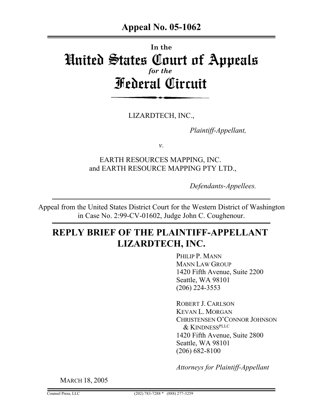# **In the** United States Court of Appeals *for the* Federal Circuit

LIZARDTECH, INC.,

*Plaintiff-Appellant,*

*v.*

EARTH RESOURCES MAPPING, INC. and EARTH RESOURCE MAPPING PTY LTD.,

*Defendants-Appellees.*

Appeal from the United States District Court for the Western District of Washington in Case No. 2:99-CV-01602, Judge John C. Coughenour.

# **REPLY BRIEF OF THE PLAINTIFF-APPELLANT LIZARDTECH, INC.**

PHILIP P. MANN MANN LAW GROUP 1420 Fifth Avenue, Suite 2200 Seattle, WA 98101 (206) 224-3553

ROBERT J. CARLSON KEVAN L. MORGAN CHRISTENSEN O'CONNOR JOHNSON & KINDNESSPLLC 1420 Fifth Avenue, Suite 2800 Seattle, WA 98101 (206) 682-8100

*Attorneys for Plaintiff-Appellant*

MARCH 18, 2005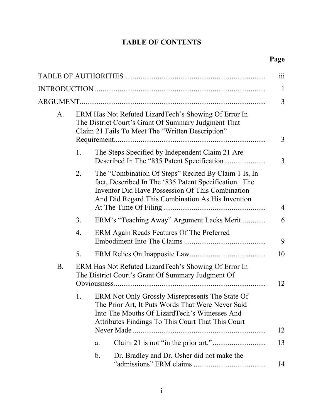## **TABLE OF CONTENTS**

| A.        | ERM Has Not Refuted LizardTech's Showing Of Error In<br>The District Court's Grant Of Summary Judgment That<br>Claim 21 Fails To Meet The "Written Description" |                                                                                                                                                                                                                              |  |  |  |
|-----------|-----------------------------------------------------------------------------------------------------------------------------------------------------------------|------------------------------------------------------------------------------------------------------------------------------------------------------------------------------------------------------------------------------|--|--|--|
|           | 1.                                                                                                                                                              | The Steps Specified by Independent Claim 21 Are                                                                                                                                                                              |  |  |  |
|           | 2.                                                                                                                                                              | The "Combination Of Steps" Recited By Claim 1 Is, In<br>fact, Described In The '835 Patent Specification. The<br><b>Inventor Did Have Possession Of This Combination</b><br>And Did Regard This Combination As His Invention |  |  |  |
|           | 3.                                                                                                                                                              | ERM's "Teaching Away" Argument Lacks Merit                                                                                                                                                                                   |  |  |  |
|           | 4.                                                                                                                                                              | ERM Again Reads Features Of The Preferred                                                                                                                                                                                    |  |  |  |
|           | 5.                                                                                                                                                              |                                                                                                                                                                                                                              |  |  |  |
| <b>B.</b> | ERM Has Not Refuted LizardTech's Showing Of Error In<br>The District Court's Grant Of Summary Judgment Of                                                       |                                                                                                                                                                                                                              |  |  |  |
|           | 1.                                                                                                                                                              | ERM Not Only Grossly Misrepresents The State Of<br>The Prior Art, It Puts Words That Were Never Said<br>Into The Mouths Of LizardTech's Witnesses And<br>Attributes Findings To This Court That This Court                   |  |  |  |
|           |                                                                                                                                                                 | a.                                                                                                                                                                                                                           |  |  |  |
|           |                                                                                                                                                                 | $\mathbf b$ .<br>Dr. Bradley and Dr. Osher did not make the                                                                                                                                                                  |  |  |  |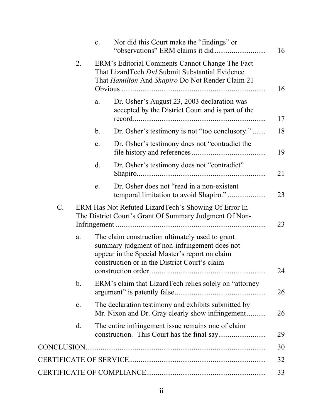|                 |                                                                                                                | $\mathbf{c}$ .                                                                                                                                                                                      | Nor did this Court make the "findings" or                                                        |  |  |  |
|-----------------|----------------------------------------------------------------------------------------------------------------|-----------------------------------------------------------------------------------------------------------------------------------------------------------------------------------------------------|--------------------------------------------------------------------------------------------------|--|--|--|
|                 | 2.                                                                                                             | ERM's Editorial Comments Cannot Change The Fact<br>That LizardTech <i>Did</i> Submit Substantial Evidence<br>That <i>Hamilton</i> And <i>Shapiro</i> Do Not Render Claim 21                         |                                                                                                  |  |  |  |
|                 |                                                                                                                | a.                                                                                                                                                                                                  | Dr. Osher's August 23, 2003 declaration was<br>accepted by the District Court and is part of the |  |  |  |
|                 |                                                                                                                | $\mathbf{b}$ .                                                                                                                                                                                      | Dr. Osher's testimony is not "too conclusory."                                                   |  |  |  |
|                 |                                                                                                                | $\mathbf{c}$ .                                                                                                                                                                                      | Dr. Osher's testimony does not "contradict the                                                   |  |  |  |
|                 |                                                                                                                | d.                                                                                                                                                                                                  | Dr. Osher's testimony does not "contradict"                                                      |  |  |  |
|                 |                                                                                                                | e.                                                                                                                                                                                                  | Dr. Osher does not "read in a non-existent"                                                      |  |  |  |
| $\mathcal{C}$ . | ERM Has Not Refuted LizardTech's Showing Of Error In<br>The District Court's Grant Of Summary Judgment Of Non- |                                                                                                                                                                                                     |                                                                                                  |  |  |  |
|                 | a.                                                                                                             | The claim construction ultimately used to grant<br>summary judgment of non-infringement does not<br>appear in the Special Master's report on claim<br>construction or in the District Court's claim |                                                                                                  |  |  |  |
|                 | b.                                                                                                             | ERM's claim that LizardTech relies solely on "attorney"                                                                                                                                             |                                                                                                  |  |  |  |
|                 | c.                                                                                                             | The declaration testimony and exhibits submitted by<br>Mr. Nixon and Dr. Gray clearly show infringement                                                                                             |                                                                                                  |  |  |  |
|                 | $\mathbf{d}$ .                                                                                                 |                                                                                                                                                                                                     | The entire infringement issue remains one of claim                                               |  |  |  |
|                 |                                                                                                                |                                                                                                                                                                                                     |                                                                                                  |  |  |  |
|                 |                                                                                                                |                                                                                                                                                                                                     |                                                                                                  |  |  |  |
|                 |                                                                                                                |                                                                                                                                                                                                     |                                                                                                  |  |  |  |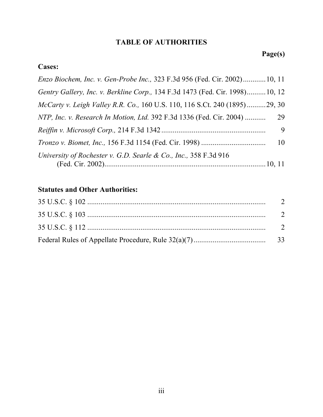## **TABLE OF AUTHORITIES**

# **Page(s)**

## **Cases:**

| Enzo Biochem, Inc. v. Gen-Probe Inc., 323 F.3d 956 (Fed. Cir. 2002) 10, 11   |    |
|------------------------------------------------------------------------------|----|
| Gentry Gallery, Inc. v. Berkline Corp., 134 F.3d 1473 (Fed. Cir. 1998)10, 12 |    |
| McCarty v. Leigh Valley R.R. Co., 160 U.S. 110, 116 S.Ct. 240 (1895)29, 30   |    |
| NTP, Inc. v. Research In Motion, Ltd. 392 F.3d 1336 (Fed. Cir. 2004)         | 29 |
|                                                                              | 9  |
| <i>Tronzo v. Biomet, Inc., 156 F.3d 1154 (Fed. Cir. 1998) </i>               | 10 |
| University of Rochester v. G.D. Searle & Co., Inc., 358 F.3d 916             |    |

## **Statutes and Other Authorities:**

| $35 \text{ U.S.C.} \& 102 \dots$ | 2              |
|----------------------------------|----------------|
| $35 \text{ U.S.C.} \& 103 \dots$ | 2              |
| $35 \text{ U.S.C.} \& 112 \dots$ | $\overline{2}$ |
|                                  | 33             |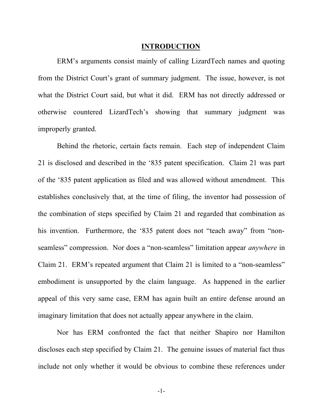#### **INTRODUCTION**

ERM's arguments consist mainly of calling LizardTech names and quoting from the District Court's grant of summary judgment. The issue, however, is not what the District Court said, but what it did. ERM has not directly addressed or otherwise countered LizardTech's showing that summary judgment was improperly granted.

Behind the rhetoric, certain facts remain. Each step of independent Claim 21 is disclosed and described in the '835 patent specification. Claim 21 was part of the '835 patent application as filed and was allowed without amendment. This establishes conclusively that, at the time of filing, the inventor had possession of the combination of steps specified by Claim 21 and regarded that combination as his invention. Furthermore, the '835 patent does not "teach away" from "nonseamless" compression. Nor does a "non-seamless" limitation appear *anywhere* in Claim 21. ERM's repeated argument that Claim 21 is limited to a "non-seamless" embodiment is unsupported by the claim language. As happened in the earlier appeal of this very same case, ERM has again built an entire defense around an imaginary limitation that does not actually appear anywhere in the claim.

Nor has ERM confronted the fact that neither Shapiro nor Hamilton discloses each step specified by Claim 21. The genuine issues of material fact thus include not only whether it would be obvious to combine these references under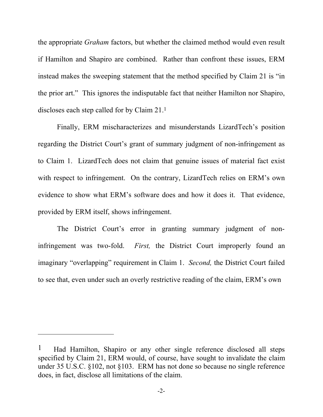the appropriate *Graham* factors, but whether the claimed method would even result if Hamilton and Shapiro are combined. Rather than confront these issues, ERM instead makes the sweeping statement that the method specified by Claim 21 is "in the prior art." This ignores the indisputable fact that neither Hamilton nor Shapiro, discloses each step called for by Claim 21.1

Finally, ERM mischaracterizes and misunderstands LizardTech's position regarding the District Court's grant of summary judgment of non-infringement as to Claim 1. LizardTech does not claim that genuine issues of material fact exist with respect to infringement. On the contrary, LizardTech relies on ERM's own evidence to show what ERM's software does and how it does it. That evidence, provided by ERM itself, shows infringement.

The District Court's error in granting summary judgment of noninfringement was two-fold. *First,* the District Court improperly found an imaginary "overlapping" requirement in Claim 1. *Second,* the District Court failed to see that, even under such an overly restrictive reading of the claim, ERM's own

1

<sup>&</sup>lt;sup>1</sup> Had Hamilton, Shapiro or any other single reference disclosed all steps specified by Claim 21, ERM would, of course, have sought to invalidate the claim under 35 U.S.C. §102, not §103. ERM has not done so because no single reference does, in fact, disclose all limitations of the claim.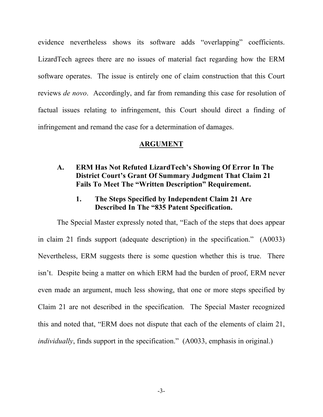evidence nevertheless shows its software adds "overlapping" coefficients. LizardTech agrees there are no issues of material fact regarding how the ERM software operates. The issue is entirely one of claim construction that this Court reviews *de novo*. Accordingly, and far from remanding this case for resolution of factual issues relating to infringement, this Court should direct a finding of infringement and remand the case for a determination of damages.

#### **ARGUMENT**

#### **A. ERM Has Not Refuted LizardTech's Showing Of Error In The District Court's Grant Of Summary Judgment That Claim 21 Fails To Meet The "Written Description" Requirement.**

**1. The Steps Specified by Independent Claim 21 Are Described In The "835 Patent Specification.**

The Special Master expressly noted that, "Each of the steps that does appear in claim 21 finds support (adequate description) in the specification." (A0033) Nevertheless, ERM suggests there is some question whether this is true. There isn't. Despite being a matter on which ERM had the burden of proof, ERM never even made an argument, much less showing, that one or more steps specified by Claim 21 are not described in the specification. The Special Master recognized this and noted that, "ERM does not dispute that each of the elements of claim 21, *individually*, finds support in the specification." (A0033, emphasis in original.)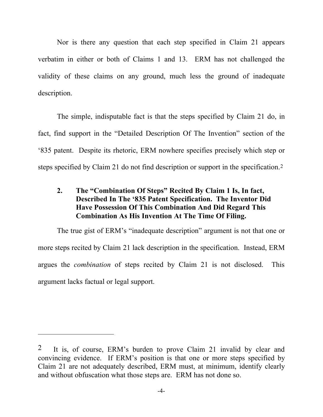Nor is there any question that each step specified in Claim 21 appears verbatim in either or both of Claims 1 and 13. ERM has not challenged the validity of these claims on any ground, much less the ground of inadequate description.

The simple, indisputable fact is that the steps specified by Claim 21 do, in fact, find support in the "Detailed Description Of The Invention" section of the '835 patent. Despite its rhetoric, ERM nowhere specifies precisely which step or steps specified by Claim 21 do not find description or support in the specification.2

## **2. The "Combination Of Steps" Recited By Claim 1 Is, In fact, Described In The '835 Patent Specification. The Inventor Did Have Possession Of This Combination And Did Regard This Combination As His Invention At The Time Of Filing.**

The true gist of ERM's "inadequate description" argument is not that one or more steps recited by Claim 21 lack description in the specification. Instead, ERM argues the *combination* of steps recited by Claim 21 is not disclosed. This argument lacks factual or legal support.

1

<sup>&</sup>lt;sup>2</sup> It is, of course, ERM's burden to prove Claim 21 invalid by clear and convincing evidence. If ERM's position is that one or more steps specified by Claim 21 are not adequately described, ERM must, at minimum, identify clearly and without obfuscation what those steps are. ERM has not done so.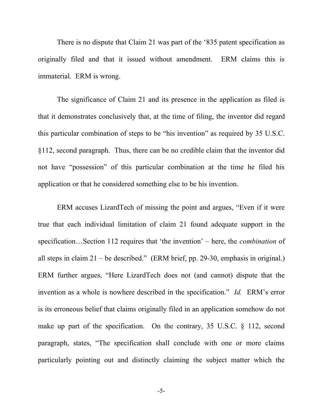There is no dispute that Claim 21 was part of the '835 patent specification as originally filed and that it issued without amendment. ERM claims this is immaterial. ERM is wrong.

The significance of Claim 21 and its presence in the application as filed is that it demonstrates conclusively that, at the time of filing, the inventor did regard this particular combination of steps to be "his invention" as required by 35 U.S.C. §112, second paragraph. Thus, there can be no credible claim that the inventor did not have "possession" of this particular combination at the time he filed his application or that he considered something else to be his invention.

ERM accuses LizardTech of missing the point and argues, "Even if it were true that each individual limitation of claim 21 found adequate support in the specification…Section 112 requires that 'the invention' – here, the *combination* of all steps in claim 21 – be described." (ERM brief, pp. 29-30, emphasis in original.) ERM further argues, "Here LizardTech does not (and cannot) dispute that the invention as a whole is nowhere described in the specification." *Id.* ERM's error is its erroneous belief that claims originally filed in an application somehow do not make up part of the specification. On the contrary, 35 U.S.C. § 112, second paragraph, states, "The specification shall conclude with one or more claims particularly pointing out and distinctly claiming the subject matter which the

-5-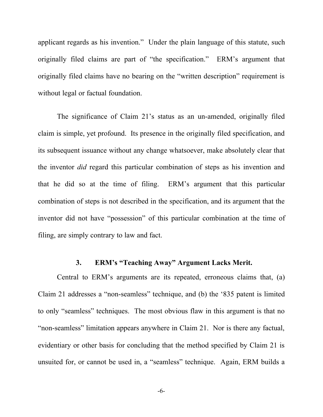applicant regards as his invention." Under the plain language of this statute, such originally filed claims are part of "the specification." ERM's argument that originally filed claims have no bearing on the "written description" requirement is without legal or factual foundation.

The significance of Claim 21's status as an un-amended, originally filed claim is simple, yet profound. Its presence in the originally filed specification, and its subsequent issuance without any change whatsoever, make absolutely clear that the inventor *did* regard this particular combination of steps as his invention and that he did so at the time of filing. ERM's argument that this particular combination of steps is not described in the specification, and its argument that the inventor did not have "possession" of this particular combination at the time of filing, are simply contrary to law and fact.

### **3. ERM's "Teaching Away" Argument Lacks Merit.**

Central to ERM's arguments are its repeated, erroneous claims that, (a) Claim 21 addresses a "non-seamless" technique, and (b) the '835 patent is limited to only "seamless" techniques. The most obvious flaw in this argument is that no "non-seamless" limitation appears anywhere in Claim 21. Nor is there any factual, evidentiary or other basis for concluding that the method specified by Claim 21 is unsuited for, or cannot be used in, a "seamless" technique. Again, ERM builds a

-6-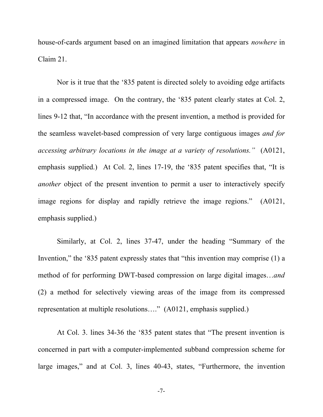house-of-cards argument based on an imagined limitation that appears *nowhere* in Claim 21.

Nor is it true that the '835 patent is directed solely to avoiding edge artifacts in a compressed image. On the contrary, the '835 patent clearly states at Col. 2, lines 9-12 that, "In accordance with the present invention, a method is provided for the seamless wavelet-based compression of very large contiguous images *and for accessing arbitrary locations in the image at a variety of resolutions."* (A0121, emphasis supplied.) At Col. 2, lines 17-19, the '835 patent specifies that, "It is *another* object of the present invention to permit a user to interactively specify image regions for display and rapidly retrieve the image regions." (A0121, emphasis supplied.)

Similarly, at Col. 2, lines 37-47, under the heading "Summary of the Invention," the '835 patent expressly states that "this invention may comprise (1) a method of for performing DWT-based compression on large digital images…*and* (2) a method for selectively viewing areas of the image from its compressed representation at multiple resolutions…." (A0121, emphasis supplied.)

At Col. 3. lines 34-36 the '835 patent states that "The present invention is concerned in part with a computer-implemented subband compression scheme for large images," and at Col. 3, lines 40-43, states, "Furthermore, the invention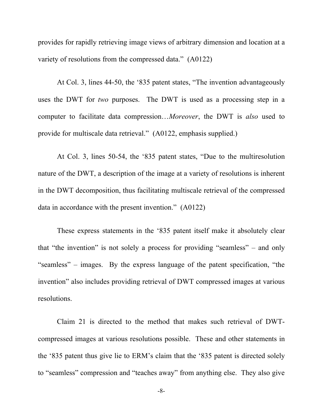provides for rapidly retrieving image views of arbitrary dimension and location at a variety of resolutions from the compressed data." (A0122)

At Col. 3, lines 44-50, the '835 patent states, "The invention advantageously uses the DWT for *two* purposes. The DWT is used as a processing step in a computer to facilitate data compression…*Moreover*, the DWT is *also* used to provide for multiscale data retrieval." (A0122, emphasis supplied.)

At Col. 3, lines 50-54, the '835 patent states, "Due to the multiresolution nature of the DWT, a description of the image at a variety of resolutions is inherent in the DWT decomposition, thus facilitating multiscale retrieval of the compressed data in accordance with the present invention." (A0122)

These express statements in the '835 patent itself make it absolutely clear that "the invention" is not solely a process for providing "seamless" – and only "seamless" – images. By the express language of the patent specification, "the invention" also includes providing retrieval of DWT compressed images at various resolutions.

Claim 21 is directed to the method that makes such retrieval of DWTcompressed images at various resolutions possible. These and other statements in the '835 patent thus give lie to ERM's claim that the '835 patent is directed solely to "seamless" compression and "teaches away" from anything else. They also give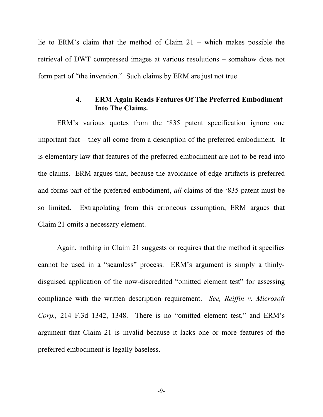lie to ERM's claim that the method of Claim 21 – which makes possible the retrieval of DWT compressed images at various resolutions – somehow does not form part of "the invention." Such claims by ERM are just not true.

#### **4. ERM Again Reads Features Of The Preferred Embodiment Into The Claims.**

ERM's various quotes from the '835 patent specification ignore one important fact – they all come from a description of the preferred embodiment. It is elementary law that features of the preferred embodiment are not to be read into the claims. ERM argues that, because the avoidance of edge artifacts is preferred and forms part of the preferred embodiment, *all* claims of the '835 patent must be so limited. Extrapolating from this erroneous assumption, ERM argues that Claim 21 omits a necessary element.

Again, nothing in Claim 21 suggests or requires that the method it specifies cannot be used in a "seamless" process. ERM's argument is simply a thinlydisguised application of the now-discredited "omitted element test" for assessing compliance with the written description requirement. *See, Reiffin v. Microsoft Corp.,* 214 F.3d 1342, 1348. There is no "omitted element test," and ERM's argument that Claim 21 is invalid because it lacks one or more features of the preferred embodiment is legally baseless.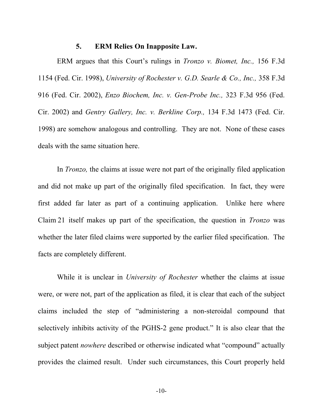#### **5. ERM Relies On Inapposite Law.**

ERM argues that this Court's rulings in *Tronzo v. Biomet, Inc.,* 156 F.3d 1154 (Fed. Cir. 1998), *University of Rochester v. G.D. Searle & Co., Inc.,* 358 F.3d 916 (Fed. Cir. 2002), *Enzo Biochem, Inc. v. Gen-Probe Inc.,* 323 F.3d 956 (Fed. Cir. 2002) and *Gentry Gallery, Inc. v. Berkline Corp.,* 134 F.3d 1473 (Fed. Cir. 1998) are somehow analogous and controlling. They are not. None of these cases deals with the same situation here.

In *Tronzo,* the claims at issue were not part of the originally filed application and did not make up part of the originally filed specification. In fact, they were first added far later as part of a continuing application. Unlike here where Claim 21 itself makes up part of the specification, the question in *Tronzo* was whether the later filed claims were supported by the earlier filed specification. The facts are completely different.

While it is unclear in *University of Rochester* whether the claims at issue were, or were not, part of the application as filed, it is clear that each of the subject claims included the step of "administering a non-steroidal compound that selectively inhibits activity of the PGHS-2 gene product." It is also clear that the subject patent *nowhere* described or otherwise indicated what "compound" actually provides the claimed result. Under such circumstances, this Court properly held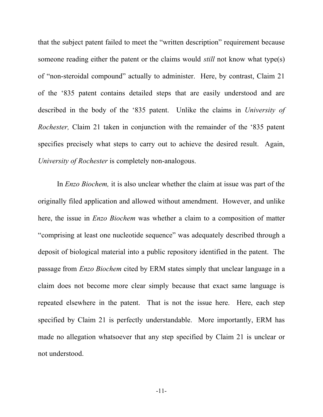that the subject patent failed to meet the "written description" requirement because someone reading either the patent or the claims would *still* not know what type(s) of "non-steroidal compound" actually to administer. Here, by contrast, Claim 21 of the '835 patent contains detailed steps that are easily understood and are described in the body of the '835 patent. Unlike the claims in *University of Rochester,* Claim 21 taken in conjunction with the remainder of the '835 patent specifies precisely what steps to carry out to achieve the desired result. Again, *University of Rochester* is completely non-analogous.

In *Enzo Biochem,* it is also unclear whether the claim at issue was part of the originally filed application and allowed without amendment. However, and unlike here, the issue in *Enzo Biochem* was whether a claim to a composition of matter "comprising at least one nucleotide sequence" was adequately described through a deposit of biological material into a public repository identified in the patent. The passage from *Enzo Biochem* cited by ERM states simply that unclear language in a claim does not become more clear simply because that exact same language is repeated elsewhere in the patent. That is not the issue here. Here, each step specified by Claim 21 is perfectly understandable. More importantly, ERM has made no allegation whatsoever that any step specified by Claim 21 is unclear or not understood.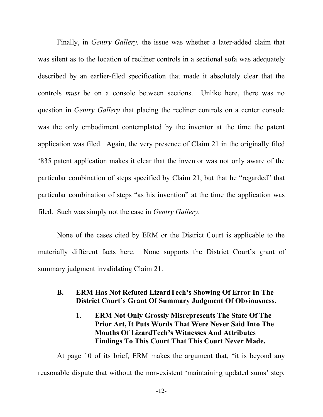Finally, in *Gentry Gallery,* the issue was whether a later-added claim that was silent as to the location of recliner controls in a sectional sofa was adequately described by an earlier-filed specification that made it absolutely clear that the controls *must* be on a console between sections. Unlike here, there was no question in *Gentry Gallery* that placing the recliner controls on a center console was the only embodiment contemplated by the inventor at the time the patent application was filed. Again, the very presence of Claim 21 in the originally filed '835 patent application makes it clear that the inventor was not only aware of the particular combination of steps specified by Claim 21, but that he "regarded" that particular combination of steps "as his invention" at the time the application was filed. Such was simply not the case in *Gentry Gallery.*

None of the cases cited by ERM or the District Court is applicable to the materially different facts here. None supports the District Court's grant of summary judgment invalidating Claim 21.

## **B. ERM Has Not Refuted LizardTech's Showing Of Error In The District Court's Grant Of Summary Judgment Of Obviousness.**

**1. ERM Not Only Grossly Misrepresents The State Of The Prior Art, It Puts Words That Were Never Said Into The Mouths Of LizardTech's Witnesses And Attributes Findings To This Court That This Court Never Made.**

At page 10 of its brief, ERM makes the argument that, "it is beyond any reasonable dispute that without the non-existent 'maintaining updated sums' step,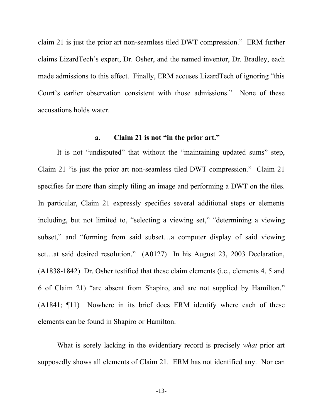claim 21 is just the prior art non-seamless tiled DWT compression." ERM further claims LizardTech's expert, Dr. Osher, and the named inventor, Dr. Bradley, each made admissions to this effect. Finally, ERM accuses LizardTech of ignoring "this Court's earlier observation consistent with those admissions." None of these accusations holds water.

#### **a. Claim 21 is not "in the prior art."**

It is not "undisputed" that without the "maintaining updated sums" step, Claim 21 "is just the prior art non-seamless tiled DWT compression." Claim 21 specifies far more than simply tiling an image and performing a DWT on the tiles. In particular, Claim 21 expressly specifies several additional steps or elements including, but not limited to, "selecting a viewing set," "determining a viewing subset," and "forming from said subset…a computer display of said viewing set...at said desired resolution." (A0127) In his August 23, 2003 Declaration, (A1838-1842) Dr. Osher testified that these claim elements (i.e., elements 4, 5 and 6 of Claim 21) "are absent from Shapiro, and are not supplied by Hamilton." (A1841; ¶11) Nowhere in its brief does ERM identify where each of these elements can be found in Shapiro or Hamilton.

What is sorely lacking in the evidentiary record is precisely *what* prior art supposedly shows all elements of Claim 21. ERM has not identified any. Nor can

-13-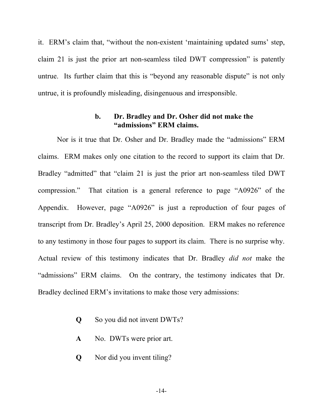it. ERM's claim that, "without the non-existent 'maintaining updated sums' step, claim 21 is just the prior art non-seamless tiled DWT compression" is patently untrue. Its further claim that this is "beyond any reasonable dispute" is not only untrue, it is profoundly misleading, disingenuous and irresponsible.

#### **b. Dr. Bradley and Dr. Osher did not make the "admissions" ERM claims.**

Nor is it true that Dr. Osher and Dr. Bradley made the "admissions" ERM claims. ERM makes only one citation to the record to support its claim that Dr. Bradley "admitted" that "claim 21 is just the prior art non-seamless tiled DWT compression." That citation is a general reference to page "A0926" of the Appendix. However, page "A0926" is just a reproduction of four pages of transcript from Dr. Bradley's April 25, 2000 deposition. ERM makes no reference to any testimony in those four pages to support its claim. There is no surprise why. Actual review of this testimony indicates that Dr. Bradley *did not* make the "admissions" ERM claims. On the contrary, the testimony indicates that Dr. Bradley declined ERM's invitations to make those very admissions:

- **Q** So you did not invent DWTs?
- **A** No. DWTs were prior art.
- **Q** Nor did you invent tiling?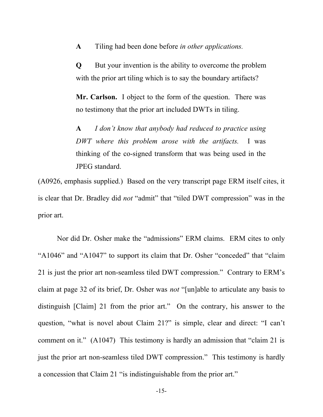**A** Tiling had been done before *in other applications.*

**Q** But your invention is the ability to overcome the problem with the prior art tiling which is to say the boundary artifacts?

**Mr. Carlson.** I object to the form of the question. There was no testimony that the prior art included DWTs in tiling.

**A** *I don't know that anybody had reduced to practice using DWT where this problem arose with the artifacts.* I was thinking of the co-signed transform that was being used in the JPEG standard.

(A0926, emphasis supplied.) Based on the very transcript page ERM itself cites, it is clear that Dr. Bradley did *not* "admit" that "tiled DWT compression" was in the prior art.

Nor did Dr. Osher make the "admissions" ERM claims. ERM cites to only "A1046" and "A1047" to support its claim that Dr. Osher "conceded" that "claim 21 is just the prior art non-seamless tiled DWT compression." Contrary to ERM's claim at page 32 of its brief, Dr. Osher was *not* "[un]able to articulate any basis to distinguish [Claim] 21 from the prior art." On the contrary, his answer to the question, "what is novel about Claim 21?" is simple, clear and direct: "I can't comment on it." (A1047) This testimony is hardly an admission that "claim 21 is just the prior art non-seamless tiled DWT compression." This testimony is hardly a concession that Claim 21 "is indistinguishable from the prior art."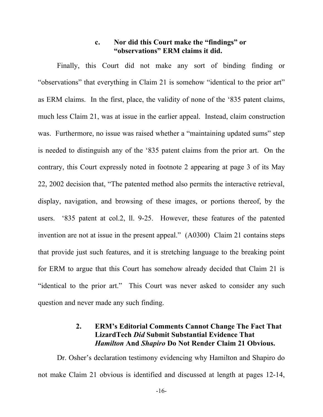#### **c. Nor did this Court make the "findings" or "observations" ERM claims it did.**

Finally, this Court did not make any sort of binding finding or "observations" that everything in Claim 21 is somehow "identical to the prior art" as ERM claims. In the first, place, the validity of none of the '835 patent claims, much less Claim 21, was at issue in the earlier appeal. Instead, claim construction was. Furthermore, no issue was raised whether a "maintaining updated sums" step is needed to distinguish any of the '835 patent claims from the prior art. On the contrary, this Court expressly noted in footnote 2 appearing at page 3 of its May 22, 2002 decision that, "The patented method also permits the interactive retrieval, display, navigation, and browsing of these images, or portions thereof, by the users. '835 patent at col.2, ll. 9-25. However, these features of the patented invention are not at issue in the present appeal." (A0300) Claim 21 contains steps that provide just such features, and it is stretching language to the breaking point for ERM to argue that this Court has somehow already decided that Claim 21 is "identical to the prior art." This Court was never asked to consider any such question and never made any such finding.

#### **2. ERM's Editorial Comments Cannot Change The Fact That LizardTech** *Did* **Submit Substantial Evidence That** *Hamilton* **And** *Shapiro* **Do Not Render Claim 21 Obvious.**

Dr. Osher's declaration testimony evidencing why Hamilton and Shapiro do not make Claim 21 obvious is identified and discussed at length at pages 12-14,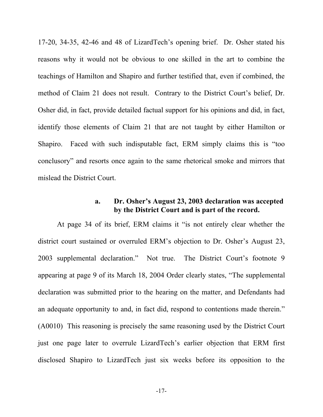17-20, 34-35, 42-46 and 48 of LizardTech's opening brief. Dr. Osher stated his reasons why it would not be obvious to one skilled in the art to combine the teachings of Hamilton and Shapiro and further testified that, even if combined, the method of Claim 21 does not result. Contrary to the District Court's belief, Dr. Osher did, in fact, provide detailed factual support for his opinions and did, in fact, identify those elements of Claim 21 that are not taught by either Hamilton or Shapiro. Faced with such indisputable fact, ERM simply claims this is "too conclusory" and resorts once again to the same rhetorical smoke and mirrors that mislead the District Court.

#### **a. Dr. Osher's August 23, 2003 declaration was accepted by the District Court and is part of the record.**

At page 34 of its brief, ERM claims it "is not entirely clear whether the district court sustained or overruled ERM's objection to Dr. Osher's August 23, 2003 supplemental declaration." Not true. The District Court's footnote 9 appearing at page 9 of its March 18, 2004 Order clearly states, "The supplemental declaration was submitted prior to the hearing on the matter, and Defendants had an adequate opportunity to and, in fact did, respond to contentions made therein." (A0010) This reasoning is precisely the same reasoning used by the District Court just one page later to overrule LizardTech's earlier objection that ERM first disclosed Shapiro to LizardTech just six weeks before its opposition to the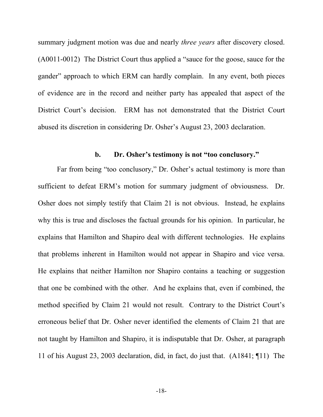summary judgment motion was due and nearly *three years* after discovery closed. (A0011-0012) The District Court thus applied a "sauce for the goose, sauce for the gander" approach to which ERM can hardly complain. In any event, both pieces of evidence are in the record and neither party has appealed that aspect of the District Court's decision. ERM has not demonstrated that the District Court abused its discretion in considering Dr. Osher's August 23, 2003 declaration.

### **b. Dr. Osher's testimony is not "too conclusory."**

Far from being "too conclusory," Dr. Osher's actual testimony is more than sufficient to defeat ERM's motion for summary judgment of obviousness. Dr. Osher does not simply testify that Claim 21 is not obvious. Instead, he explains why this is true and discloses the factual grounds for his opinion. In particular, he explains that Hamilton and Shapiro deal with different technologies. He explains that problems inherent in Hamilton would not appear in Shapiro and vice versa. He explains that neither Hamilton nor Shapiro contains a teaching or suggestion that one be combined with the other. And he explains that, even if combined, the method specified by Claim 21 would not result. Contrary to the District Court's erroneous belief that Dr. Osher never identified the elements of Claim 21 that are not taught by Hamilton and Shapiro, it is indisputable that Dr. Osher, at paragraph 11 of his August 23, 2003 declaration, did, in fact, do just that. (A1841; ¶11) The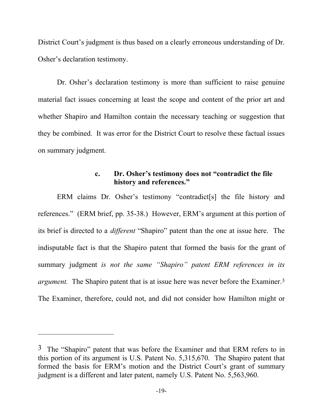District Court's judgment is thus based on a clearly erroneous understanding of Dr. Osher's declaration testimony.

Dr. Osher's declaration testimony is more than sufficient to raise genuine material fact issues concerning at least the scope and content of the prior art and whether Shapiro and Hamilton contain the necessary teaching or suggestion that they be combined. It was error for the District Court to resolve these factual issues on summary judgment.

#### **c. Dr. Osher's testimony does not "contradict the file history and references."**

ERM claims Dr. Osher's testimony "contradict[s] the file history and references." (ERM brief, pp. 35-38.) However, ERM's argument at this portion of its brief is directed to a *different* "Shapiro" patent than the one at issue here. The indisputable fact is that the Shapiro patent that formed the basis for the grant of summary judgment *is not the same "Shapiro" patent ERM references in its argument.* The Shapiro patent that is at issue here was never before the Examiner.<sup>3</sup> The Examiner, therefore, could not, and did not consider how Hamilton might or

1

<sup>3</sup> The "Shapiro" patent that was before the Examiner and that ERM refers to in this portion of its argument is U.S. Patent No. 5,315,670. The Shapiro patent that formed the basis for ERM's motion and the District Court's grant of summary judgment is a different and later patent, namely U.S. Patent No. 5,563,960.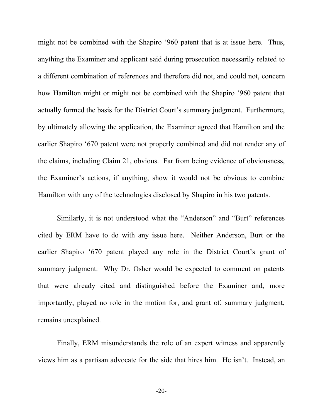might not be combined with the Shapiro '960 patent that is at issue here. Thus, anything the Examiner and applicant said during prosecution necessarily related to a different combination of references and therefore did not, and could not, concern how Hamilton might or might not be combined with the Shapiro '960 patent that actually formed the basis for the District Court's summary judgment. Furthermore, by ultimately allowing the application, the Examiner agreed that Hamilton and the earlier Shapiro '670 patent were not properly combined and did not render any of the claims, including Claim 21, obvious. Far from being evidence of obviousness, the Examiner's actions, if anything, show it would not be obvious to combine Hamilton with any of the technologies disclosed by Shapiro in his two patents.

Similarly, it is not understood what the "Anderson" and "Burt" references cited by ERM have to do with any issue here. Neither Anderson, Burt or the earlier Shapiro '670 patent played any role in the District Court's grant of summary judgment. Why Dr. Osher would be expected to comment on patents that were already cited and distinguished before the Examiner and, more importantly, played no role in the motion for, and grant of, summary judgment, remains unexplained.

Finally, ERM misunderstands the role of an expert witness and apparently views him as a partisan advocate for the side that hires him. He isn't. Instead, an

-20-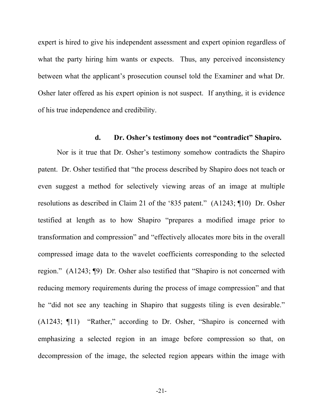expert is hired to give his independent assessment and expert opinion regardless of what the party hiring him wants or expects. Thus, any perceived inconsistency between what the applicant's prosecution counsel told the Examiner and what Dr. Osher later offered as his expert opinion is not suspect. If anything, it is evidence of his true independence and credibility.

#### **d. Dr. Osher's testimony does not "contradict" Shapiro.**

Nor is it true that Dr. Osher's testimony somehow contradicts the Shapiro patent. Dr. Osher testified that "the process described by Shapiro does not teach or even suggest a method for selectively viewing areas of an image at multiple resolutions as described in Claim 21 of the '835 patent." (A1243; ¶10) Dr. Osher testified at length as to how Shapiro "prepares a modified image prior to transformation and compression" and "effectively allocates more bits in the overall compressed image data to the wavelet coefficients corresponding to the selected region." (A1243; ¶9) Dr. Osher also testified that "Shapiro is not concerned with reducing memory requirements during the process of image compression" and that he "did not see any teaching in Shapiro that suggests tiling is even desirable." (A1243; ¶11) "Rather," according to Dr. Osher, "Shapiro is concerned with emphasizing a selected region in an image before compression so that, on decompression of the image, the selected region appears within the image with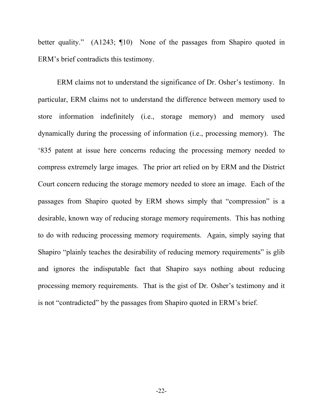better quality." (A1243; ¶10) None of the passages from Shapiro quoted in ERM's brief contradicts this testimony.

ERM claims not to understand the significance of Dr. Osher's testimony. In particular, ERM claims not to understand the difference between memory used to store information indefinitely (i.e., storage memory) and memory used dynamically during the processing of information (i.e., processing memory). The '835 patent at issue here concerns reducing the processing memory needed to compress extremely large images. The prior art relied on by ERM and the District Court concern reducing the storage memory needed to store an image. Each of the passages from Shapiro quoted by ERM shows simply that "compression" is a desirable, known way of reducing storage memory requirements. This has nothing to do with reducing processing memory requirements. Again, simply saying that Shapiro "plainly teaches the desirability of reducing memory requirements" is glib and ignores the indisputable fact that Shapiro says nothing about reducing processing memory requirements. That is the gist of Dr. Osher's testimony and it is not "contradicted" by the passages from Shapiro quoted in ERM's brief.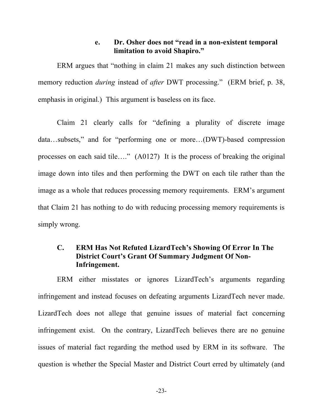#### **e. Dr. Osher does not "read in a non-existent temporal limitation to avoid Shapiro."**

ERM argues that "nothing in claim 21 makes any such distinction between memory reduction *during* instead of *after* DWT processing." (ERM brief, p. 38, emphasis in original.) This argument is baseless on its face.

Claim 21 clearly calls for "defining a plurality of discrete image data…subsets," and for "performing one or more…(DWT)-based compression processes on each said tile…." (A0127) It is the process of breaking the original image down into tiles and then performing the DWT on each tile rather than the image as a whole that reduces processing memory requirements. ERM's argument that Claim 21 has nothing to do with reducing processing memory requirements is simply wrong.

## **C. ERM Has Not Refuted LizardTech's Showing Of Error In The District Court's Grant Of Summary Judgment Of Non-Infringement.**

ERM either misstates or ignores LizardTech's arguments regarding infringement and instead focuses on defeating arguments LizardTech never made. LizardTech does not allege that genuine issues of material fact concerning infringement exist. On the contrary, LizardTech believes there are no genuine issues of material fact regarding the method used by ERM in its software. The question is whether the Special Master and District Court erred by ultimately (and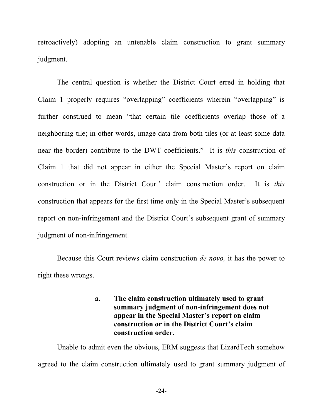retroactively) adopting an untenable claim construction to grant summary judgment.

The central question is whether the District Court erred in holding that Claim 1 properly requires "overlapping" coefficients wherein "overlapping" is further construed to mean "that certain tile coefficients overlap those of a neighboring tile; in other words, image data from both tiles (or at least some data near the border) contribute to the DWT coefficients." It is *this* construction of Claim 1 that did not appear in either the Special Master's report on claim construction or in the District Court' claim construction order. It is *this* construction that appears for the first time only in the Special Master's subsequent report on non-infringement and the District Court's subsequent grant of summary judgment of non-infringement.

Because this Court reviews claim construction *de novo,* it has the power to right these wrongs.

## **a. The claim construction ultimately used to grant summary judgment of non-infringement does not appear in the Special Master's report on claim construction or in the District Court's claim construction order.**

Unable to admit even the obvious, ERM suggests that LizardTech somehow agreed to the claim construction ultimately used to grant summary judgment of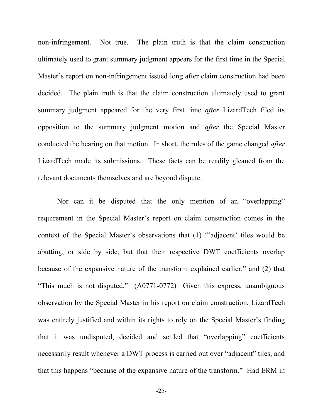non-infringement. Not true. The plain truth is that the claim construction ultimately used to grant summary judgment appears for the first time in the Special Master's report on non-infringement issued long after claim construction had been decided. The plain truth is that the claim construction ultimately used to grant summary judgment appeared for the very first time *after* LizardTech filed its opposition to the summary judgment motion and *after* the Special Master conducted the hearing on that motion. In short, the rules of the game changed *after* LizardTech made its submissions. These facts can be readily gleaned from the relevant documents themselves and are beyond dispute.

Nor can it be disputed that the only mention of an "overlapping" requirement in the Special Master's report on claim construction comes in the context of the Special Master's observations that (1) "'adjacent' tiles would be abutting, or side by side, but that their respective DWT coefficients overlap because of the expansive nature of the transform explained earlier," and (2) that "This much is not disputed." (A0771-0772) Given this express, unambiguous observation by the Special Master in his report on claim construction, LizardTech was entirely justified and within its rights to rely on the Special Master's finding that it was undisputed, decided and settled that "overlapping" coefficients necessarily result whenever a DWT process is carried out over "adjacent" tiles, and that this happens "because of the expansive nature of the transform." Had ERM in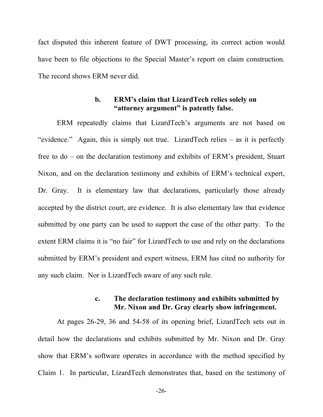fact disputed this inherent feature of DWT processing, its correct action would have been to file objections to the Special Master's report on claim construction. The record shows ERM never did.

#### **b. ERM's claim that LizardTech relies solely on "attorney argument" is patently false.**

ERM repeatedly claims that LizardTech's arguments are not based on "evidence." Again, this is simply not true. LizardTech relies – as it is perfectly free to do – on the declaration testimony and exhibits of ERM's president, Stuart Nixon, and on the declaration testimony and exhibits of ERM's technical expert, Dr. Gray. It is elementary law that declarations, particularly those already accepted by the district court, are evidence. It is also elementary law that evidence submitted by one party can be used to support the case of the other party. To the extent ERM claims it is "no fair" for LizardTech to use and rely on the declarations submitted by ERM's president and expert witness, ERM has cited no authority for any such claim. Nor is LizardTech aware of any such rule.

#### **c. The declaration testimony and exhibits submitted by Mr. Nixon and Dr. Gray clearly show infringement.**

At pages 26-29, 36 and 54-58 of its opening brief, LizardTech sets out in detail how the declarations and exhibits submitted by Mr. Nixon and Dr. Gray show that ERM's software operates in accordance with the method specified by Claim 1. In particular, LizardTech demonstrates that, based on the testimony of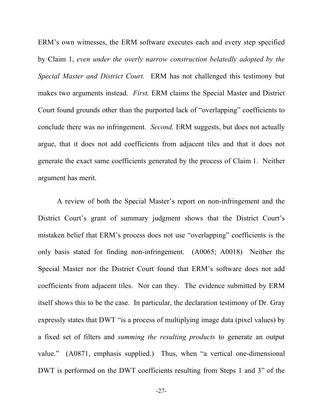ERM's own witnesses, the ERM software executes each and every step specified by Claim 1, *even under the overly narrow construction belatedly adopted by the Special Master and District Court.* ERM has not challenged this testimony but makes two arguments instead. *First,* ERM claims the Special Master and District Court found grounds other than the purported lack of "overlapping" coefficients to conclude there was no infringement. *Second,* ERM suggests, but does not actually argue, that it does not add coefficients from adjacent tiles and that it does not generate the exact same coefficients generated by the process of Claim 1. Neither argument has merit.

A review of both the Special Master's report on non-infringement and the District Court's grant of summary judgment shows that the District Court's mistaken belief that ERM's process does not use "overlapping" coefficients is the only basis stated for finding non-infringement. (A0065; A0018) Neither the Special Master nor the District Court found that ERM's software does not add coefficients from adjacent tiles. Nor can they. The evidence submitted by ERM itself shows this to be the case. In particular, the declaration testimony of Dr. Gray expressly states that DWT "is a process of multiplying image data (pixel values) by a fixed set of filters and *summing the resulting products* to generate an output value." (A0871, emphasis supplied.) Thus, when "a vertical one-dimensional DWT is performed on the DWT coefficients resulting from Steps 1 and 3" of the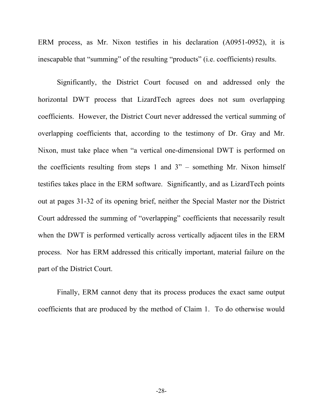ERM process, as Mr. Nixon testifies in his declaration (A0951-0952), it is inescapable that "summing" of the resulting "products" (i.e. coefficients) results.

Significantly, the District Court focused on and addressed only the horizontal DWT process that LizardTech agrees does not sum overlapping coefficients. However, the District Court never addressed the vertical summing of overlapping coefficients that, according to the testimony of Dr. Gray and Mr. Nixon, must take place when "a vertical one-dimensional DWT is performed on the coefficients resulting from steps 1 and 3" – something Mr. Nixon himself testifies takes place in the ERM software. Significantly, and as LizardTech points out at pages 31-32 of its opening brief, neither the Special Master nor the District Court addressed the summing of "overlapping" coefficients that necessarily result when the DWT is performed vertically across vertically adjacent tiles in the ERM process. Nor has ERM addressed this critically important, material failure on the part of the District Court.

Finally, ERM cannot deny that its process produces the exact same output coefficients that are produced by the method of Claim 1. To do otherwise would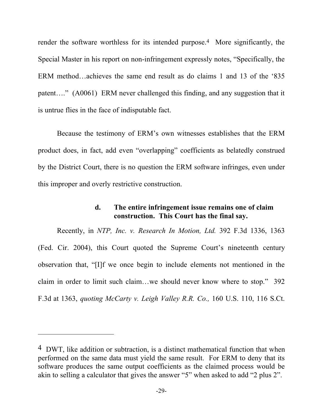render the software worthless for its intended purpose.4 More significantly, the Special Master in his report on non-infringement expressly notes, "Specifically, the ERM method…achieves the same end result as do claims 1 and 13 of the '835 patent…." (A0061) ERM never challenged this finding, and any suggestion that it is untrue flies in the face of indisputable fact.

Because the testimony of ERM's own witnesses establishes that the ERM product does, in fact, add even "overlapping" coefficients as belatedly construed by the District Court, there is no question the ERM software infringes, even under this improper and overly restrictive construction.

#### **d. The entire infringement issue remains one of claim construction. This Court has the final say.**

Recently, in *NTP, Inc. v. Research In Motion, Ltd.* 392 F.3d 1336, 1363 (Fed. Cir. 2004), this Court quoted the Supreme Court's nineteenth century observation that, "[I]f we once begin to include elements not mentioned in the claim in order to limit such claim…we should never know where to stop." 392 F.3d at 1363, *quoting McCarty v. Leigh Valley R.R. Co.,* 160 U.S. 110, 116 S.Ct.

1

<sup>4</sup> DWT, like addition or subtraction, is a distinct mathematical function that when performed on the same data must yield the same result. For ERM to deny that its software produces the same output coefficients as the claimed process would be akin to selling a calculator that gives the answer "5" when asked to add "2 plus 2".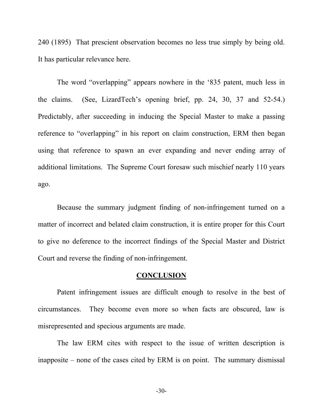240 (1895) That prescient observation becomes no less true simply by being old. It has particular relevance here.

The word "overlapping" appears nowhere in the '835 patent, much less in the claims. (See, LizardTech's opening brief, pp. 24, 30, 37 and 52-54.) Predictably, after succeeding in inducing the Special Master to make a passing reference to "overlapping" in his report on claim construction, ERM then began using that reference to spawn an ever expanding and never ending array of additional limitations. The Supreme Court foresaw such mischief nearly 110 years ago.

Because the summary judgment finding of non-infringement turned on a matter of incorrect and belated claim construction, it is entire proper for this Court to give no deference to the incorrect findings of the Special Master and District Court and reverse the finding of non-infringement.

#### **CONCLUSION**

Patent infringement issues are difficult enough to resolve in the best of circumstances. They become even more so when facts are obscured, law is misrepresented and specious arguments are made.

The law ERM cites with respect to the issue of written description is inapposite – none of the cases cited by ERM is on point. The summary dismissal

-30-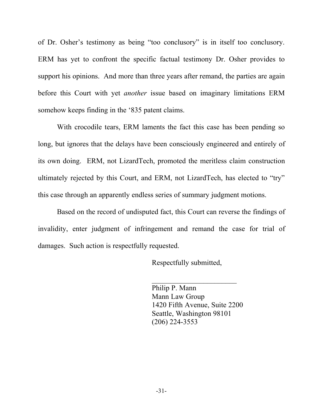of Dr. Osher's testimony as being "too conclusory" is in itself too conclusory. ERM has yet to confront the specific factual testimony Dr. Osher provides to support his opinions. And more than three years after remand, the parties are again before this Court with yet *another* issue based on imaginary limitations ERM somehow keeps finding in the '835 patent claims.

With crocodile tears, ERM laments the fact this case has been pending so long, but ignores that the delays have been consciously engineered and entirely of its own doing. ERM, not LizardTech, promoted the meritless claim construction ultimately rejected by this Court, and ERM, not LizardTech, has elected to "try" this case through an apparently endless series of summary judgment motions.

Based on the record of undisputed fact, this Court can reverse the findings of invalidity, enter judgment of infringement and remand the case for trial of damages. Such action is respectfully requested.

Respectfully submitted,

Philip P. Mann Mann Law Group 1420 Fifth Avenue, Suite 2200 Seattle, Washington 98101 (206) 224-3553

 $\overline{\phantom{a}}$  , where  $\overline{\phantom{a}}$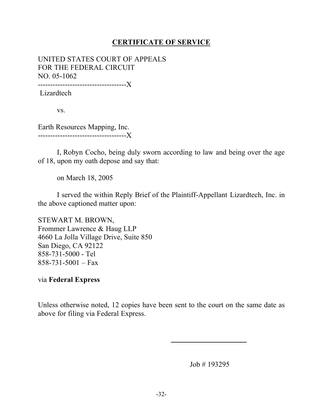## **CERTIFICATE OF SERVICE**

UNITED STATES COURT OF APPEALS FOR THE FEDERAL CIRCUIT NO. 05-1062 ------------------------------------X

Lizardtech

vs.

Earth Resources Mapping, Inc. ------------------------------------X

I, Robyn Cocho, being duly sworn according to law and being over the age of 18, upon my oath depose and say that:

on March 18, 2005

I served the within Reply Brief of the Plaintiff-Appellant Lizardtech, Inc. in the above captioned matter upon:

STEWART M. BROWN, Frommer Lawrence & Haug LLP 4660 La Jolla Village Drive, Suite 850 San Diego, CA 92122 858-731-5000 - Tel  $858-731-5001 - Fax$ 

via **Federal Express**

Unless otherwise noted, 12 copies have been sent to the court on the same date as above for filing via Federal Express.

Job # 193295